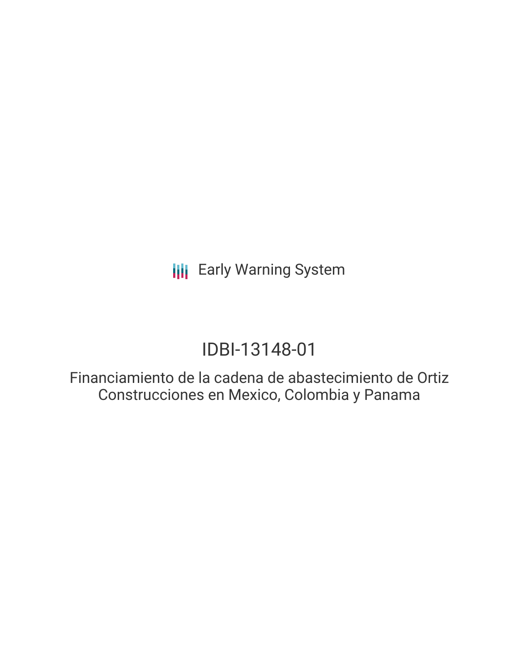# IDBI-13148-01

Financiamiento de la cadena de abastecimiento de Ortiz Construcciones en Mexico, Colombia y Panama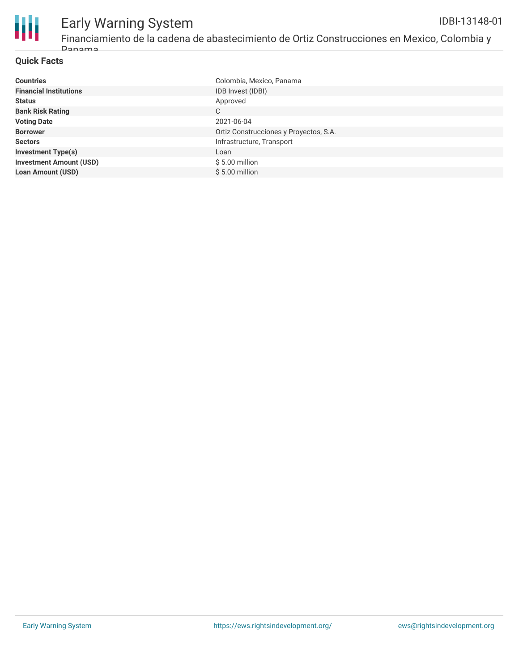

Financiamiento de la cadena de abastecimiento de Ortiz Construcciones en Mexico, Colombia y Panama

## **Quick Facts**

| <b>Countries</b>               | Colombia, Mexico, Panama               |
|--------------------------------|----------------------------------------|
| <b>Financial Institutions</b>  | IDB Invest (IDBI)                      |
| <b>Status</b>                  | Approved                               |
| <b>Bank Risk Rating</b>        | С                                      |
| <b>Voting Date</b>             | 2021-06-04                             |
| <b>Borrower</b>                | Ortiz Construcciones y Proyectos, S.A. |
| <b>Sectors</b>                 | Infrastructure, Transport              |
| <b>Investment Type(s)</b>      | Loan                                   |
| <b>Investment Amount (USD)</b> | $$5.00$ million                        |
| <b>Loan Amount (USD)</b>       | $$5.00$ million                        |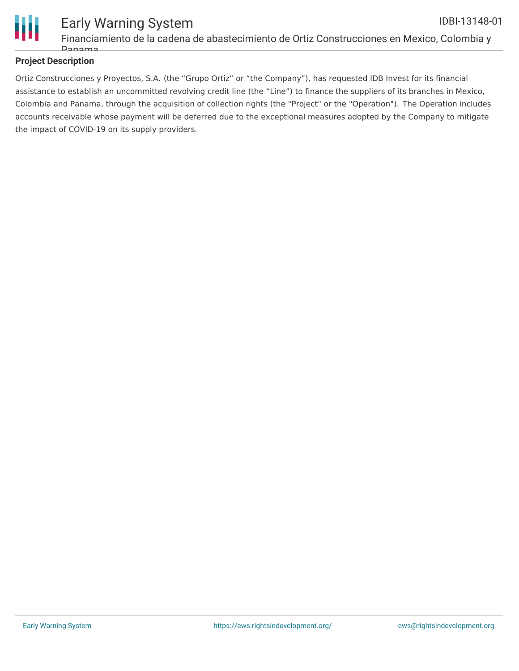

#### Early Warning System Financiamiento de la cadena de abastecimiento de Ortiz Construcciones en Mexico, Colombia y IDBI-13148-01

## **Project Description**

 $D<sub>21</sub>$ 

Ortiz Construcciones y Proyectos, S.A. (the "Grupo Ortiz" or "the Company"), has requested IDB Invest for its financial assistance to establish an uncommitted revolving credit line (the "Line") to finance the suppliers of its branches in Mexico, Colombia and Panama, through the acquisition of collection rights (the "Project" or the "Operation"). The Operation includes accounts receivable whose payment will be deferred due to the exceptional measures adopted by the Company to mitigate the impact of COVID-19 on its supply providers.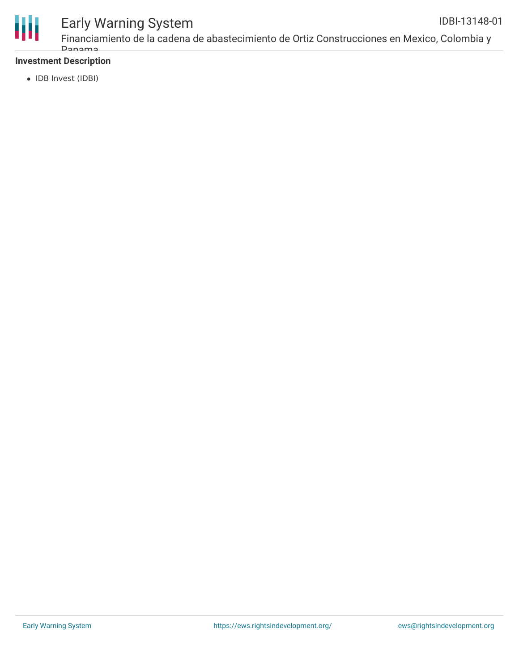

Financiamiento de la cadena de abastecimiento de Ortiz Construcciones en Mexico, Colombia y Panama IDBI-13148-01

## **Investment Description**

• IDB Invest (IDBI)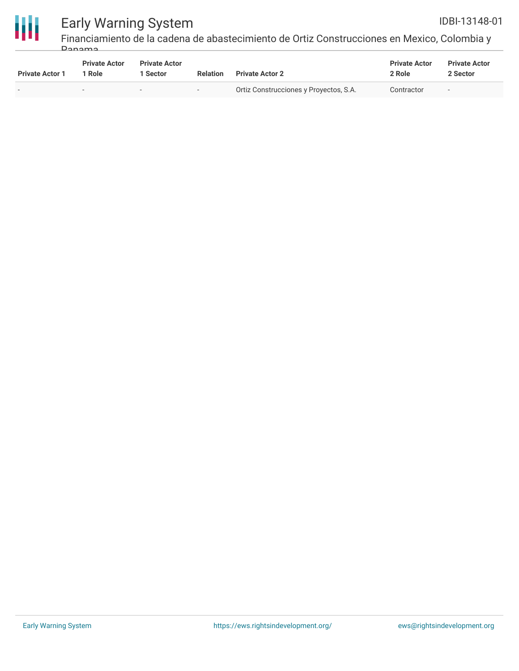

Financiamiento de la cadena de abastecimiento de Ortiz Construcciones en Mexico, Colombia y Panama

| <b>Private Actor 1</b> | <b>Private Actor</b><br>' Role | <b>Private Actor</b><br>l Sector | <b>Relation</b>          | <b>Private Actor 2</b>                 | <b>Private Actor</b><br>2 Role | <b>Private Actor</b><br>2 Sector |
|------------------------|--------------------------------|----------------------------------|--------------------------|----------------------------------------|--------------------------------|----------------------------------|
|                        | $\overline{\phantom{0}}$       | $-$                              | $\overline{\phantom{a}}$ | Ortiz Construcciones y Proyectos, S.A. | Contractor                     | $\overline{\phantom{0}}$         |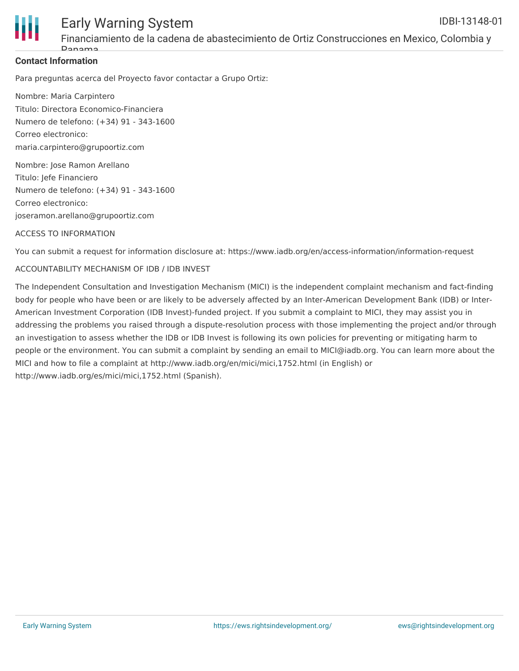

## **Contact Information**

Para preguntas acerca del Proyecto favor contactar a Grupo Ortiz:

Nombre: Maria Carpintero Titulo: Directora Economico-Financiera Numero de telefono: (+34) 91 - 343-1600 Correo electronico: maria.carpintero@grupoortiz.com

Nombre: Jose Ramon Arellano Titulo: Jefe Financiero Numero de telefono: (+34) 91 - 343-1600 Correo electronico: joseramon.arellano@grupoortiz.com

### ACCESS TO INFORMATION

You can submit a request for information disclosure at: https://www.iadb.org/en/access-information/information-request

### ACCOUNTABILITY MECHANISM OF IDB / IDB INVEST

The Independent Consultation and Investigation Mechanism (MICI) is the independent complaint mechanism and fact-finding body for people who have been or are likely to be adversely affected by an Inter-American Development Bank (IDB) or Inter-American Investment Corporation (IDB Invest)-funded project. If you submit a complaint to MICI, they may assist you in addressing the problems you raised through a dispute-resolution process with those implementing the project and/or through an investigation to assess whether the IDB or IDB Invest is following its own policies for preventing or mitigating harm to people or the environment. You can submit a complaint by sending an email to MICI@iadb.org. You can learn more about the MICI and how to file a complaint at http://www.iadb.org/en/mici/mici,1752.html (in English) or http://www.iadb.org/es/mici/mici,1752.html (Spanish).